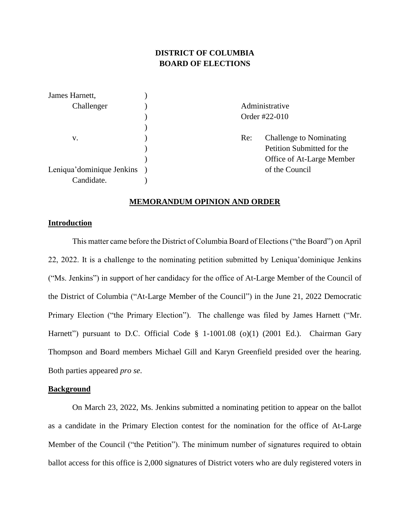# **DISTRICT OF COLUMBIA BOARD OF ELECTIONS**

| James Harnett,            |     |                            |  |
|---------------------------|-----|----------------------------|--|
| Challenger                |     | Administrative             |  |
|                           |     | Order #22-010              |  |
|                           |     |                            |  |
| V.                        | Re: | Challenge to Nominating    |  |
|                           |     | Petition Submitted for the |  |
|                           |     | Office of At-Large Member  |  |
| Leniqua'dominique Jenkins |     | of the Council             |  |
| Candidate.                |     |                            |  |

#### **MEMORANDUM OPINION AND ORDER**

## **Introduction**

This matter came before the District of Columbia Board of Elections ("the Board") on April 22, 2022. It is a challenge to the nominating petition submitted by Leniqua'dominique Jenkins ("Ms. Jenkins") in support of her candidacy for the office of At-Large Member of the Council of the District of Columbia ("At-Large Member of the Council") in the June 21, 2022 Democratic Primary Election ("the Primary Election"). The challenge was filed by James Harnett ("Mr. Harnett") pursuant to D.C. Official Code § 1-1001.08 (o)(1) (2001 Ed.). Chairman Gary Thompson and Board members Michael Gill and Karyn Greenfield presided over the hearing. Both parties appeared *pro se*.

### **Background**

On March 23, 2022, Ms. Jenkins submitted a nominating petition to appear on the ballot as a candidate in the Primary Election contest for the nomination for the office of At-Large Member of the Council ("the Petition"). The minimum number of signatures required to obtain ballot access for this office is 2,000 signatures of District voters who are duly registered voters in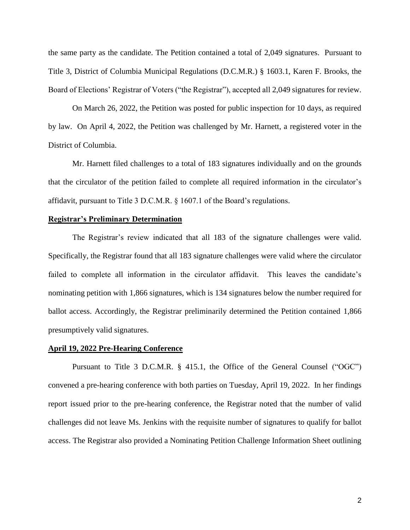the same party as the candidate. The Petition contained a total of 2,049 signatures. Pursuant to Title 3, District of Columbia Municipal Regulations (D.C.M.R.) § 1603.1, Karen F. Brooks, the Board of Elections' Registrar of Voters ("the Registrar"), accepted all 2,049 signatures for review.

On March 26, 2022, the Petition was posted for public inspection for 10 days, as required by law. On April 4, 2022, the Petition was challenged by Mr. Harnett, a registered voter in the District of Columbia.

Mr. Harnett filed challenges to a total of 183 signatures individually and on the grounds that the circulator of the petition failed to complete all required information in the circulator's affidavit, pursuant to Title 3 D.C.M.R. § 1607.1 of the Board's regulations.

## **Registrar's Preliminary Determination**

The Registrar's review indicated that all 183 of the signature challenges were valid. Specifically, the Registrar found that all 183 signature challenges were valid where the circulator failed to complete all information in the circulator affidavit. This leaves the candidate's nominating petition with 1,866 signatures, which is 134 signatures below the number required for ballot access. Accordingly, the Registrar preliminarily determined the Petition contained 1,866 presumptively valid signatures.

#### **April 19, 2022 Pre-Hearing Conference**

Pursuant to Title 3 D.C.M.R. § 415.1, the Office of the General Counsel ("OGC") convened a pre-hearing conference with both parties on Tuesday, April 19, 2022. In her findings report issued prior to the pre-hearing conference, the Registrar noted that the number of valid challenges did not leave Ms. Jenkins with the requisite number of signatures to qualify for ballot access. The Registrar also provided a Nominating Petition Challenge Information Sheet outlining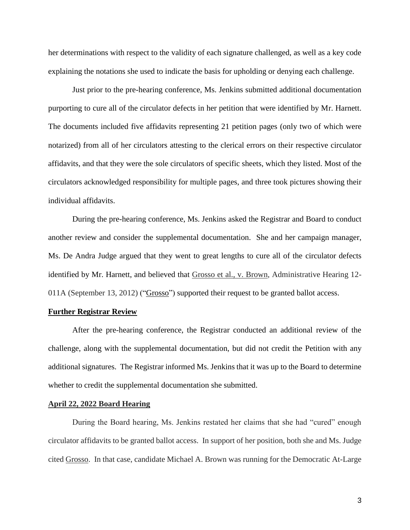her determinations with respect to the validity of each signature challenged, as well as a key code explaining the notations she used to indicate the basis for upholding or denying each challenge.

Just prior to the pre-hearing conference, Ms. Jenkins submitted additional documentation purporting to cure all of the circulator defects in her petition that were identified by Mr. Harnett. The documents included five affidavits representing 21 petition pages (only two of which were notarized) from all of her circulators attesting to the clerical errors on their respective circulator affidavits, and that they were the sole circulators of specific sheets, which they listed. Most of the circulators acknowledged responsibility for multiple pages, and three took pictures showing their individual affidavits.

During the pre-hearing conference, Ms. Jenkins asked the Registrar and Board to conduct another review and consider the supplemental documentation. She and her campaign manager, Ms. De Andra Judge argued that they went to great lengths to cure all of the circulator defects identified by Mr. Harnett, and believed that Grosso et al., v. Brown, Administrative Hearing 12- 011A (September 13, 2012) ("Grosso") supported their request to be granted ballot access.

## **Further Registrar Review**

After the pre-hearing conference, the Registrar conducted an additional review of the challenge, along with the supplemental documentation, but did not credit the Petition with any additional signatures. The Registrar informed Ms. Jenkins that it was up to the Board to determine whether to credit the supplemental documentation she submitted.

### **April 22, 2022 Board Hearing**

During the Board hearing, Ms. Jenkins restated her claims that she had "cured" enough circulator affidavits to be granted ballot access. In support of her position, both she and Ms. Judge cited Grosso. In that case, candidate Michael A. Brown was running for the Democratic At-Large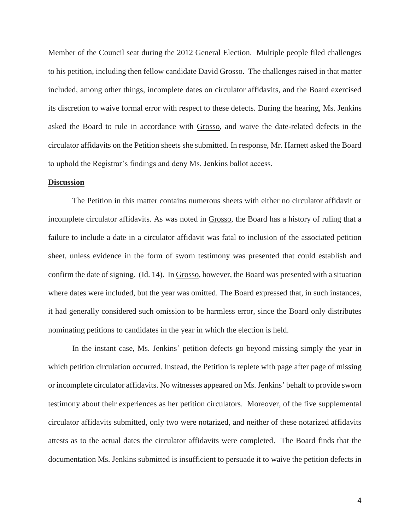Member of the Council seat during the 2012 General Election. Multiple people filed challenges to his petition, including then fellow candidate David Grosso. The challenges raised in that matter included, among other things, incomplete dates on circulator affidavits, and the Board exercised its discretion to waive formal error with respect to these defects. During the hearing, Ms. Jenkins asked the Board to rule in accordance with Grosso, and waive the date-related defects in the circulator affidavits on the Petition sheets she submitted. In response, Mr. Harnett asked the Board to uphold the Registrar's findings and deny Ms. Jenkins ballot access.

## **Discussion**

The Petition in this matter contains numerous sheets with either no circulator affidavit or incomplete circulator affidavits. As was noted in Grosso, the Board has a history of ruling that a failure to include a date in a circulator affidavit was fatal to inclusion of the associated petition sheet, unless evidence in the form of sworn testimony was presented that could establish and confirm the date of signing. (Id. 14). In Grosso, however, the Board was presented with a situation where dates were included, but the year was omitted. The Board expressed that, in such instances, it had generally considered such omission to be harmless error, since the Board only distributes nominating petitions to candidates in the year in which the election is held.

In the instant case, Ms. Jenkins' petition defects go beyond missing simply the year in which petition circulation occurred. Instead, the Petition is replete with page after page of missing or incomplete circulator affidavits. No witnesses appeared on Ms. Jenkins' behalf to provide sworn testimony about their experiences as her petition circulators. Moreover, of the five supplemental circulator affidavits submitted, only two were notarized, and neither of these notarized affidavits attests as to the actual dates the circulator affidavits were completed. The Board finds that the documentation Ms. Jenkins submitted is insufficient to persuade it to waive the petition defects in